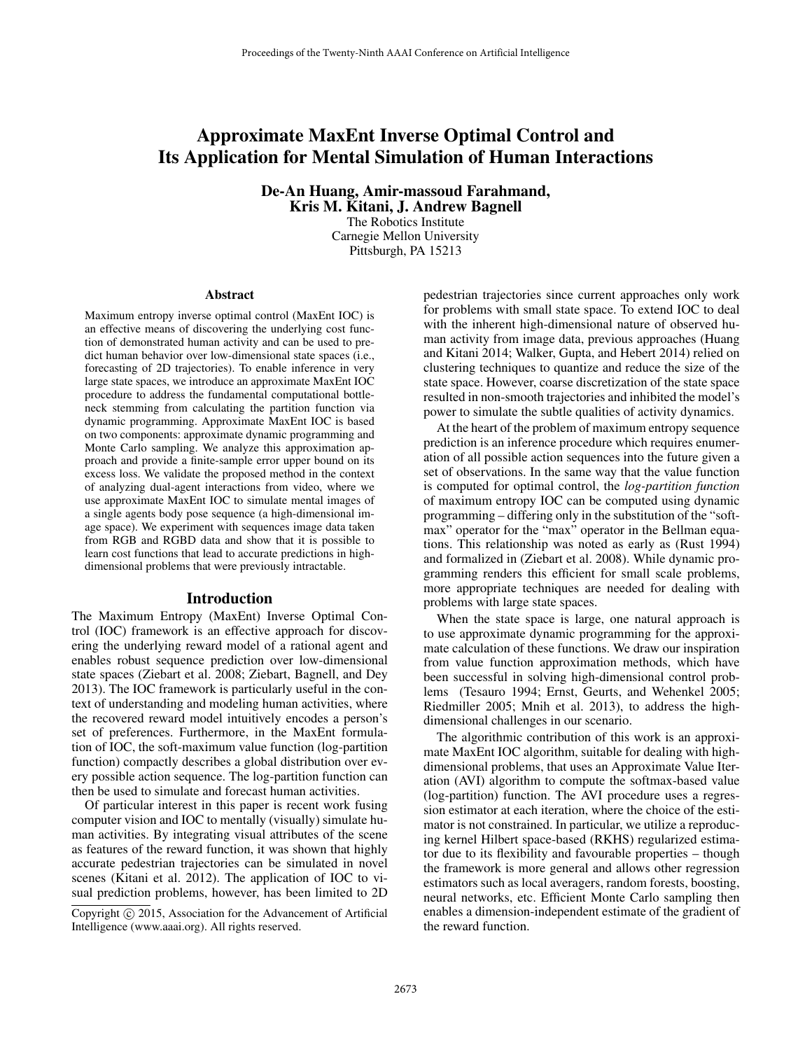# Approximate MaxEnt Inverse Optimal Control and Its Application for Mental Simulation of Human Interactions

De-An Huang, Amir-massoud Farahmand, Kris M. Kitani, J. Andrew Bagnell

> The Robotics Institute Carnegie Mellon University Pittsburgh, PA 15213

#### Abstract

Maximum entropy inverse optimal control (MaxEnt IOC) is an effective means of discovering the underlying cost function of demonstrated human activity and can be used to predict human behavior over low-dimensional state spaces (i.e., forecasting of 2D trajectories). To enable inference in very large state spaces, we introduce an approximate MaxEnt IOC procedure to address the fundamental computational bottleneck stemming from calculating the partition function via dynamic programming. Approximate MaxEnt IOC is based on two components: approximate dynamic programming and Monte Carlo sampling. We analyze this approximation approach and provide a finite-sample error upper bound on its excess loss. We validate the proposed method in the context of analyzing dual-agent interactions from video, where we use approximate MaxEnt IOC to simulate mental images of a single agents body pose sequence (a high-dimensional image space). We experiment with sequences image data taken from RGB and RGBD data and show that it is possible to learn cost functions that lead to accurate predictions in highdimensional problems that were previously intractable.

# Introduction

The Maximum Entropy (MaxEnt) Inverse Optimal Control (IOC) framework is an effective approach for discovering the underlying reward model of a rational agent and enables robust sequence prediction over low-dimensional state spaces (Ziebart et al. 2008; Ziebart, Bagnell, and Dey 2013). The IOC framework is particularly useful in the context of understanding and modeling human activities, where the recovered reward model intuitively encodes a person's set of preferences. Furthermore, in the MaxEnt formulation of IOC, the soft-maximum value function (log-partition function) compactly describes a global distribution over every possible action sequence. The log-partition function can then be used to simulate and forecast human activities.

Of particular interest in this paper is recent work fusing computer vision and IOC to mentally (visually) simulate human activities. By integrating visual attributes of the scene as features of the reward function, it was shown that highly accurate pedestrian trajectories can be simulated in novel scenes (Kitani et al. 2012). The application of IOC to visual prediction problems, however, has been limited to 2D

pedestrian trajectories since current approaches only work for problems with small state space. To extend IOC to deal with the inherent high-dimensional nature of observed human activity from image data, previous approaches (Huang and Kitani 2014; Walker, Gupta, and Hebert 2014) relied on clustering techniques to quantize and reduce the size of the state space. However, coarse discretization of the state space resulted in non-smooth trajectories and inhibited the model's power to simulate the subtle qualities of activity dynamics.

At the heart of the problem of maximum entropy sequence prediction is an inference procedure which requires enumeration of all possible action sequences into the future given a set of observations. In the same way that the value function is computed for optimal control, the *log-partition function* of maximum entropy IOC can be computed using dynamic programming – differing only in the substitution of the "softmax" operator for the "max" operator in the Bellman equations. This relationship was noted as early as (Rust 1994) and formalized in (Ziebart et al. 2008). While dynamic programming renders this efficient for small scale problems, more appropriate techniques are needed for dealing with problems with large state spaces.

When the state space is large, one natural approach is to use approximate dynamic programming for the approximate calculation of these functions. We draw our inspiration from value function approximation methods, which have been successful in solving high-dimensional control problems (Tesauro 1994; Ernst, Geurts, and Wehenkel 2005; Riedmiller 2005; Mnih et al. 2013), to address the highdimensional challenges in our scenario.

The algorithmic contribution of this work is an approximate MaxEnt IOC algorithm, suitable for dealing with highdimensional problems, that uses an Approximate Value Iteration (AVI) algorithm to compute the softmax-based value (log-partition) function. The AVI procedure uses a regression estimator at each iteration, where the choice of the estimator is not constrained. In particular, we utilize a reproducing kernel Hilbert space-based (RKHS) regularized estimator due to its flexibility and favourable properties – though the framework is more general and allows other regression estimators such as local averagers, random forests, boosting, neural networks, etc. Efficient Monte Carlo sampling then enables a dimension-independent estimate of the gradient of the reward function.

Copyright (c) 2015, Association for the Advancement of Artificial Intelligence (www.aaai.org). All rights reserved.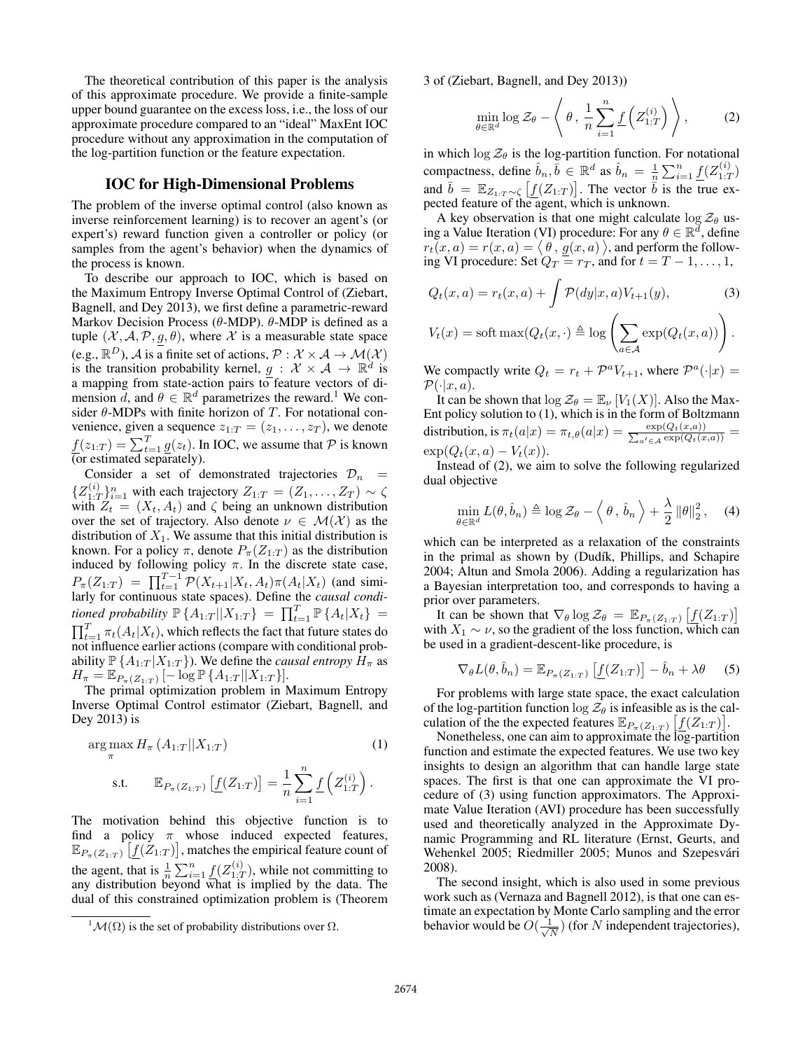The theoretical contribution of this paper is the analysis of this approximate procedure. We provide a finite-sample upper bound guarantee on the excess loss, i.e., the loss of our approximate procedure compared to an "ideal" MaxEnt IOC procedure without any approximation in the computation of the log-partition function or the feature expectation.

#### IOC for High-Dimensional Problems

The problem of the inverse optimal control (also known as inverse reinforcement learning) is to recover an agent's (or expert's) reward function given a controller or policy (or samples from the agent's behavior) when the dynamics of the process is known.

To describe our approach to IOC, which is based on the Maximum Entropy Inverse Optimal Control of (Ziebart, Bagnell, and Dey 2013), we first define a parametric-reward Markov Decision Process ( $\theta$ -MDP).  $\theta$ -MDP is defined as a tuple  $(X, \mathcal{A}, \mathcal{P}, g, \theta)$ , where X is a measurable state space (e.g.,  $\mathbb{R}^D$ ), A is a finite set of actions,  $\mathcal{P}: \mathcal{X} \times \mathcal{A} \to \mathcal{M}(\mathcal{X})$ is the transition probability kernel,  $g : \mathcal{X} \times \mathcal{A} \rightarrow \mathbb{R}^d$  is a mapping from state-action pairs to feature vectors of dimension  $\ddot{d}$ , and  $\theta \in \mathbb{R}^d$  parametrizes the reward.<sup>1</sup> We consider  $\theta$ -MDPs with finite horizon of T. For notational convenience, given a sequence  $z_{1:T} = (z_1, \ldots, z_T)$ , we denote  $\underline{f}(z_{1:T}) = \sum_{t=1}^{T} \underline{g}(z_t)$ . In IOC, we assume that  $P$  is known (or estimated separately).

Consider a set of demonstrated trajectories  $\mathcal{D}_n$  =  $\{Z_{1}^{(i)},$  $\sum_{1:T}^{(i)}\sum_{i=1}^{n}$  with each trajectory  $Z_{1:T} = (Z_1, \ldots, Z_T) \sim \zeta$ with  $Z_t = (X_t, A_t)$  and  $\zeta$  being an unknown distribution over the set of trajectory. Also denote  $\nu \in \mathcal{M}(\mathcal{X})$  as the distribution of  $X_1$ . We assume that this initial distribution is known. For a policy  $\pi$ , denote  $P_{\pi}(Z_{1:T})$  as the distribution induced by following policy  $\pi$ . In the discrete state case,  $P_{\pi}(Z_{1:T}) = \prod_{t=1}^{T-1} \mathcal{P}(X_{t+1}|X_t, A_t) \pi(A_t|X_t)$  (and similarly for continuous state spaces). Define the *causal conditioned probability*  $\mathbb{P} \{A_{1:T} | X_{1:T} \} = \prod_{t=1}^{T} \mathbb{P} \{A_t | X_t \} =$  $\prod_{t=1}^{T} \pi_t(A_t|X_t)$ , which reflects the fact that future states do not influence earlier actions (compare with conditional probability  $\mathbb{P} \{A_{1:T} | X_{1:T} \}$ ). We define the *causal entropy*  $H_{\pi}$  as  $H_{\pi} = \mathbb{E}_{P_{\pi}(Z_{1:T})}[-\log \mathbb{P} \{A_{1:T} || X_{1:T}\}].$ 

The primal optimization problem in Maximum Entropy Inverse Optimal Control estimator (Ziebart, Bagnell, and Dey 2013) is

$$
\arg\max_{\pi} H_{\pi} (A_{1:T} || X_{1:T})
$$
\n
$$
\text{s.t.} \qquad \mathbb{E}_{P_{\pi}(Z_{1:T})} [f(Z_{1:T})] = \frac{1}{n} \sum_{i=1}^{n} f(Z_{1:T}^{(i)}) .
$$
\n(1)

The motivation behind this objective function is to find a policy  $\pi$  whose induced expected features,  $\mathbb{E}_{P_{\pi}(Z_1; T)}\left[\underline{f}(\check{Z}_{1:T})\right]$ , matches the empirical feature count of the agent, that is  $\frac{1}{n} \sum_{i=1}^{n} \underline{f}(Z_{1:T}^{(i)})$  $\binom{1}{1:T}$ , while not committing to any distribution beyond what is implied by the data. The dual of this constrained optimization problem is (Theorem 3 of (Ziebart, Bagnell, and Dey 2013))

$$
\min_{\theta \in \mathbb{R}^d} \log \mathcal{Z}_{\theta} - \left\langle \theta, \frac{1}{n} \sum_{i=1}^n \underline{f}\left(Z_{1:T}^{(i)}\right) \right\rangle, \tag{2}
$$

in which  $\log \mathcal{Z}_{\theta}$  is the log-partition function. For notational compactness, define  $\hat{b}_n, \bar{b} \in \mathbb{R}^d$  as  $\hat{b}_n = \frac{1}{n} \sum_{i=1}^n \underline{f}(Z_{1:T}^{(i)})$  $\binom{[i]}{1:T}$ and  $\bar{b} = \mathbb{E}_{Z_1, T \sim \zeta} [f(Z_{1:T})]$ . The vector  $\bar{b}$  is the true expected feature of the agent, which is unknown.

A key observation is that one might calculate  $\log \mathcal{Z}_{\theta}$  using a Value Iteration (VI) procedure: For any  $\theta \in \mathbb{R}^d$ , define  $r_t(x,a) = r(x,a) = \langle \theta, g(x,a) \rangle$ , and perform the following VI procedure: Set  $Q_T = r_T$ , and for  $t = T - 1, \ldots, 1$ ,

$$
Q_t(x,a) = r_t(x,a) + \int \mathcal{P}(dy|x,a)V_{t+1}(y),\tag{3}
$$

$$
V_t(x) = \text{soft max}(Q_t(x, \cdot) \triangleq \log \left( \sum_{a \in \mathcal{A}} \exp(Q_t(x, a)) \right).
$$

We compactly write  $Q_t = r_t + \mathcal{P}^a V_{t+1}$ , where  $\mathcal{P}^a(\cdot|x) =$  $\mathcal{P}(\cdot|x,a)$ .

It can be shown that  $\log \mathcal{Z}_{\theta} = \mathbb{E}_{\nu} [V_1(X)]$ . Also the Max-Ent policy solution to (1), which is in the form of Boltzmann distribution, is  $\pi_t(a|x) = \pi_{t,\theta}(a|x) = \frac{\exp(Q_t(x,a))}{\sum_{a' \in \mathcal{A}} \exp(Q_t(x,a))}$  $\exp(Q_t(x,a) - V_t(x)).$ 

Instead of (2), we aim to solve the following regularized dual objective

$$
\min_{\theta \in \mathbb{R}^d} L(\theta, \hat{b}_n) \triangleq \log \mathcal{Z}_{\theta} - \langle \theta, \hat{b}_n \rangle + \frac{\lambda}{2} ||\theta||_2^2, \quad (4)
$$

which can be interpreted as a relaxation of the constraints in the primal as shown by (Dudík, Phillips, and Schapire 2004; Altun and Smola 2006). Adding a regularization has a Bayesian interpretation too, and corresponds to having a prior over parameters.

It can be shown that  $\nabla_{\theta} \log \mathcal{Z}_{\theta} = \mathbb{E}_{P_{\pi}(Z_{1:T})} \left[ f(Z_{1:T}) \right]$ with  $X_1 \sim \nu$ , so the gradient of the loss function, which can be used in a gradient-descent-like procedure, is

$$
\nabla_{\theta} L(\theta, \hat{b}_n) = \mathbb{E}_{P_{\pi}(Z_{1:T})} \left[ \underline{f}(Z_{1:T}) \right] - \hat{b}_n + \lambda \theta \quad (5)
$$

For problems with large state space, the exact calculation of the log-partition function  $\log \mathcal{Z}_{\theta}$  is infeasible as is the calculation of the the expected features  $\mathbb{E}_{P_{\pi}(Z_1; T)} [f(Z_1; T)].$ 

Nonetheless, one can aim to approximate the log-partition function and estimate the expected features. We use two key insights to design an algorithm that can handle large state spaces. The first is that one can approximate the VI procedure of (3) using function approximators. The Approximate Value Iteration (AVI) procedure has been successfully used and theoretically analyzed in the Approximate Dynamic Programming and RL literature (Ernst, Geurts, and Wehenkel 2005; Riedmiller 2005; Munos and Szepesvári 2008).

The second insight, which is also used in some previous work such as (Vernaza and Bagnell 2012), is that one can estimate an expectation by Monte Carlo sampling and the error behavior would be  $O(\frac{1}{\sqrt{2}})$  $\frac{1}{\overline{N}}$ ) (for N independent trajectories),

 ${}^{1}\mathcal{M}(\Omega)$  is the set of probability distributions over  $\Omega$ .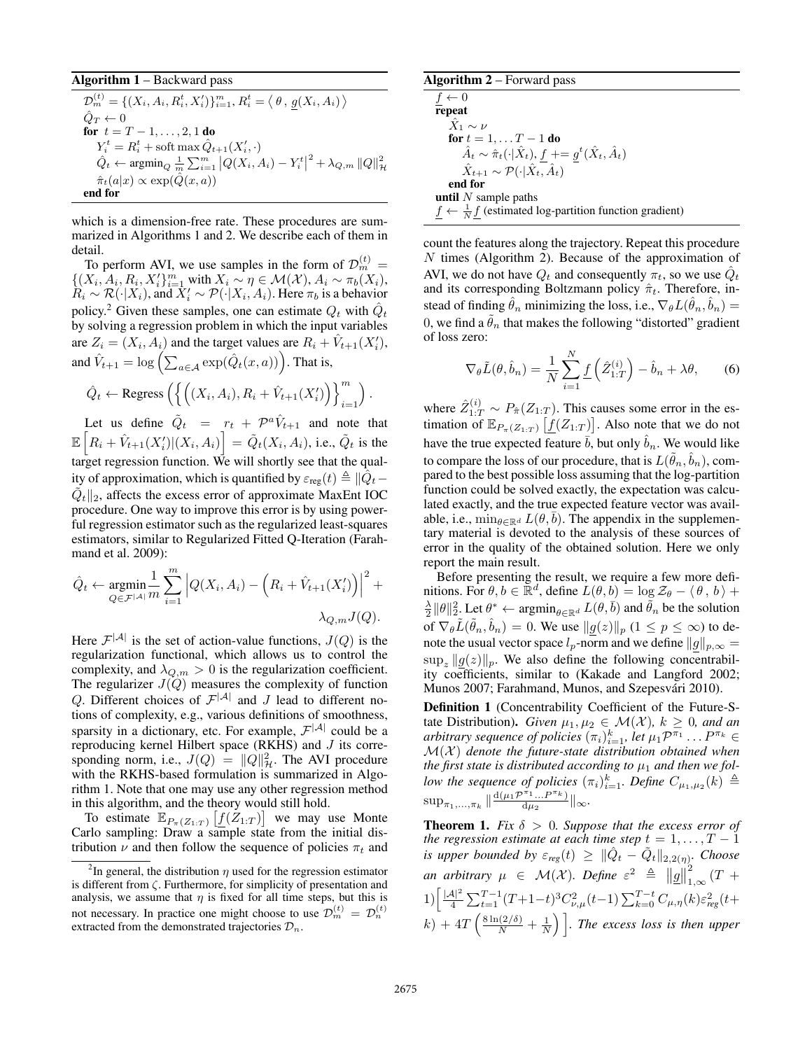#### Algorithm 1 – Backward pass

$$
\mathcal{D}_{m}^{(t)} = \left\{ (X_i, A_i, R_i^t, X_i') \}_{i=1}^{m}, R_i^t = \left\langle \theta, \underline{g}(X_i, A_i) \right\rangle
$$
  
\n
$$
\hat{Q}_T \leftarrow 0
$$
  
\nfor  $t = T - 1, ..., 2, 1$  do  
\n
$$
Y_i^t = R_i^t + \text{soft } \max \hat{Q}_{t+1}(X_i', \cdot)
$$
  
\n
$$
\hat{Q}_t \leftarrow \operatorname{argmin}_{Q} \frac{1}{m} \sum_{i=1}^{m} |Q(X_i, A_i) - Y_i^t|^2 + \lambda_{Q,m} ||Q||_{\mathcal{H}}^2
$$
  
\n
$$
\hat{\pi}_t(a|x) \propto \exp(\hat{Q}(x, a))
$$
  
\nend for

which is a dimension-free rate. These procedures are summarized in Algorithms 1 and 2. We describe each of them in detail.

To perform AVI, we use samples in the form of  $\mathcal{D}_m^{(t)} =$  $\{(X_i, A_i, R_i, X_i'\}_{i=1}^m \text{ with } X_i \sim \eta \in \mathcal{M}(\mathcal{X}), A_i \sim \pi_b(X_i),$  $\hat{R}_i \sim \mathcal{R}(\cdot | X_i)$ , and  $\hat{X}'_i \sim \mathcal{P}(\cdot | X_i, A_i)$ . Here  $\pi_b$  is a behavior policy.<sup>2</sup> Given these samples, one can estimate  $Q_t$  with  $\hat{Q}_t$ by solving a regression problem in which the input variables are  $Z_i = (X_i, A_i)$  and the target values are  $R_i + \hat{V}_{t+1}(X'_i)$ , and  $\hat{V}_{t+1} = \log \left( \sum_{a \in \mathcal{A}} \exp(\hat{Q}_{t}(x, a)) \right)$ . That is,

$$
\hat{Q}_t \leftarrow \text{Regress}\left( \left\{ \left( (X_i, A_i), R_i + \hat{V}_{t+1}(X'_i) \right) \right\}_{i=1}^m \right).
$$

Let us define  $\tilde{Q}_t = r_t + \mathcal{P}^a \hat{V}_{t+1}$  and note that  $\mathbb{E}\left[R_i + \hat{V}_{t+1}(X_i')|(X_i, A_i)\right] = \tilde{Q}_t(X_i, A_i)$ , i.e.,  $\tilde{Q}_t$  is the target regression function. We will shortly see that the quality of approximation, which is quantified by  $\varepsilon_{\rm reg}(t) \triangleq \|\hat{Q}_t-{\bf k}\|$  $\tilde{Q}_t \|_2$ , affects the excess error of approximate MaxEnt IOC procedure. One way to improve this error is by using powerful regression estimator such as the regularized least-squares estimators, similar to Regularized Fitted Q-Iteration (Farahmand et al. 2009):

$$
\hat{Q}_t \leftarrow \underset{Q \in \mathcal{F}^{|\mathcal{A}|}}{\operatorname{argmin}} \frac{1}{m} \sum_{i=1}^m \left| Q(X_i, A_i) - \left( R_i + \hat{V}_{t+1}(X_i') \right) \right|^2 + \lambda_{Q,m} J(Q).
$$

Here  $\mathcal{F}^{|\mathcal{A}|}$  is the set of action-value functions,  $J(Q)$  is the regularization functional, which allows us to control the complexity, and  $\lambda_{Q,m} > 0$  is the regularization coefficient. The regularizer  $J(Q)$  measures the complexity of function Q. Different choices of  $\mathcal{F}^{|\mathcal{A}|}$  and J lead to different notions of complexity, e.g., various definitions of smoothness, sparsity in a dictionary, etc. For example,  $\mathcal{F}^{|\mathcal{A}|}$  could be a reproducing kernel Hilbert space (RKHS) and J its corresponding norm, i.e.,  $J(Q) = ||Q||^2_{\mathcal{H}}$ . The AVI procedure with the RKHS-based formulation is summarized in Algorithm 1. Note that one may use any other regression method in this algorithm, and the theory would still hold.

To estimate  $\mathbb{E}_{P_{\pi}(Z_{1:T})}\left[\underline{f}(\check{Z}_{1:T})\right]$  we may use Monte Carlo sampling: Draw a sample state from the initial distribution  $\nu$  and then follow the sequence of policies  $\pi_t$  and

| <b>Algorithm 2</b> – Forward pass |  |  |  |
|-----------------------------------|--|--|--|
|-----------------------------------|--|--|--|

 $\underline{f} \leftarrow 0$ repeat  $\hat{X}_1 \sim \nu$ for  $t = 1, \ldots T - 1$  do  $\hat{A}_t \sim \hat{\pi}_t(\cdot | \hat{X}_t), f \mid = g^t(\hat{X}_t, \hat{A}_t)$  $\hat{X}_{t+1} \sim \mathcal{P}(\cdot|\hat{X}_t, \hat{A}_t)$ end for until  $N$  sample paths  $\underline{f} \leftarrow \frac{1}{N} \underline{f}$  (estimated log-partition function gradient)

count the features along the trajectory. Repeat this procedure N times (Algorithm 2). Because of the approximation of AVI, we do not have  $Q_t$  and consequently  $\pi_t$ , so we use  $\hat{Q}_t$ and its corresponding Boltzmann policy  $\hat{\pi}_t$ . Therefore, instead of finding  $\hat{\theta}_n$  minimizing the loss, i.e.,  $\nabla_{\theta}L(\hat{\theta}_n, \hat{b}_n) =$ 0, we find a  $\tilde{\theta}_n$  that makes the following "distorted" gradient of loss zero:

$$
\nabla_{\theta}\tilde{L}(\theta,\hat{b}_n) = \frac{1}{N} \sum_{i=1}^{N} \underline{f}\left(\hat{Z}_{1:T}^{(i)}\right) - \hat{b}_n + \lambda\theta,\qquad(6)
$$

where  $\hat{Z}_{1:T}^{(i)} \sim P_{\hat{\pi}}(Z_{1:T})$ . This causes some error in the estimation of  $\mathbb{E}_{P_{\pi}(Z_1; \tau)} [f(Z_1; \tau)].$  Also note that we do not have the true expected feature  $\bar{b}$ , but only  $\hat{b}_n$ . We would like to compare the loss of our procedure, that is  $L(\tilde{\theta}_n,\hat{b}_n)$ , compared to the best possible loss assuming that the log-partition function could be solved exactly, the expectation was calculated exactly, and the true expected feature vector was available, i.e.,  $\min_{\theta \in \mathbb{R}^d} L(\theta, \overline{b})$ . The appendix in the supplementary material is devoted to the analysis of these sources of error in the quality of the obtained solution. Here we only report the main result.

Before presenting the result, we require a few more definitions. For  $\theta, b \in \mathbb{R}^d$ , define  $L(\theta, b) = \log \mathcal{Z}_{\theta} - \langle \theta, b \rangle +$  $\frac{\lambda}{2} ||\theta||_2^2$ . Let  $\theta^* \leftarrow \text{argmin}_{\theta \in \mathbb{R}^d} L(\theta, \bar{b})$  and  $\tilde{\theta}_n$  be the solution of  $\nabla_{\theta}\tilde{L}(\tilde{\theta}_n, \hat{b}_n) = 0$ . We use  $\|g(z)\|_p$   $(1 \le p \le \infty)$  to denote the usual vector space  $l_p$ -norm and we define  $||g||_{p,\infty} =$  $\sup_z ||g(z)||_p$ . We also define the following concentrability coefficients, similar to (Kakade and Langford 2002; Munos 2007; Farahmand, Munos, and Szepesvári 2010).

Definition 1 (Concentrability Coefficient of the Future-State Distribution). *Given*  $\mu_1, \mu_2 \in \mathcal{M}(\mathcal{X})$ ,  $k \geq 0$ , and an arbitrary sequence of policies  $(\pi_i)_{i=1}^k$ , let  $\mu_1 \mathcal{P}^{\pi_1} \dots \mathcal{P}^{\pi_k} \in$  $\mathcal{M}(\mathcal{X})$  denote the future-state distribution obtained when *the first state is distributed according to*  $\mu_1$  *and then we follow the sequence of policies*  $(\pi_i)_{i=1}^k$ . Define  $C_{\mu_1,\mu_2}(k) \triangleq$  $\sup_{\pi_1,...,\pi_k}$   $\|\frac{d(\mu_1 \mathcal{P}^{\pi_1} ... \mathcal{P}^{\pi_k})}{d\mu_2}\|$  $\frac{a_{1}...b_{k}}{a_{\mu_2}}\|_{\infty}.$ 

**Theorem 1.** *Fix*  $\delta > 0$ *. Suppose that the excess error of the regression estimate at each time step*  $t = 1, \ldots, T - 1$ *is upper bounded by*  $\varepsilon_{reg}(t) \geq \|\hat{Q}_t - \tilde{Q}_t\|_{2,2(\eta)}$ *. Choose an arbitrary*  $\mu \in \mathcal{M}(\mathcal{X})$ *. Define*  $\varepsilon^2 \triangleq ||g||$ 2  $\int_{1,\infty}^{2} (T +$  $1\left[\frac{|\mathcal{A}|^2}{4}\right]$  $\frac{4 \vert^{2}}{4} \sum_{t=1}^{T-1} (T+1-t)^{3} C^{2}_{\nu,\mu}(t-1) \sum_{k=0}^{T-t} C_{\mu,\eta}(k) \varepsilon_{reg}^{2}(t+1)$  $k) + 4T \left( \frac{8 \ln(2/\delta)}{N} + \frac{1}{N} \right)$ . The excess loss is then upper

<sup>&</sup>lt;sup>2</sup>In general, the distribution  $\eta$  used for the regression estimator is different from  $\zeta$ . Furthermore, for simplicity of presentation and analysis, we assume that  $\eta$  is fixed for all time steps, but this is not necessary. In practice one might choose to use  $\mathcal{D}_m^{(t)} = \mathcal{D}_n^{(t)}$ extracted from the demonstrated trajectories  $\mathcal{D}_n$ .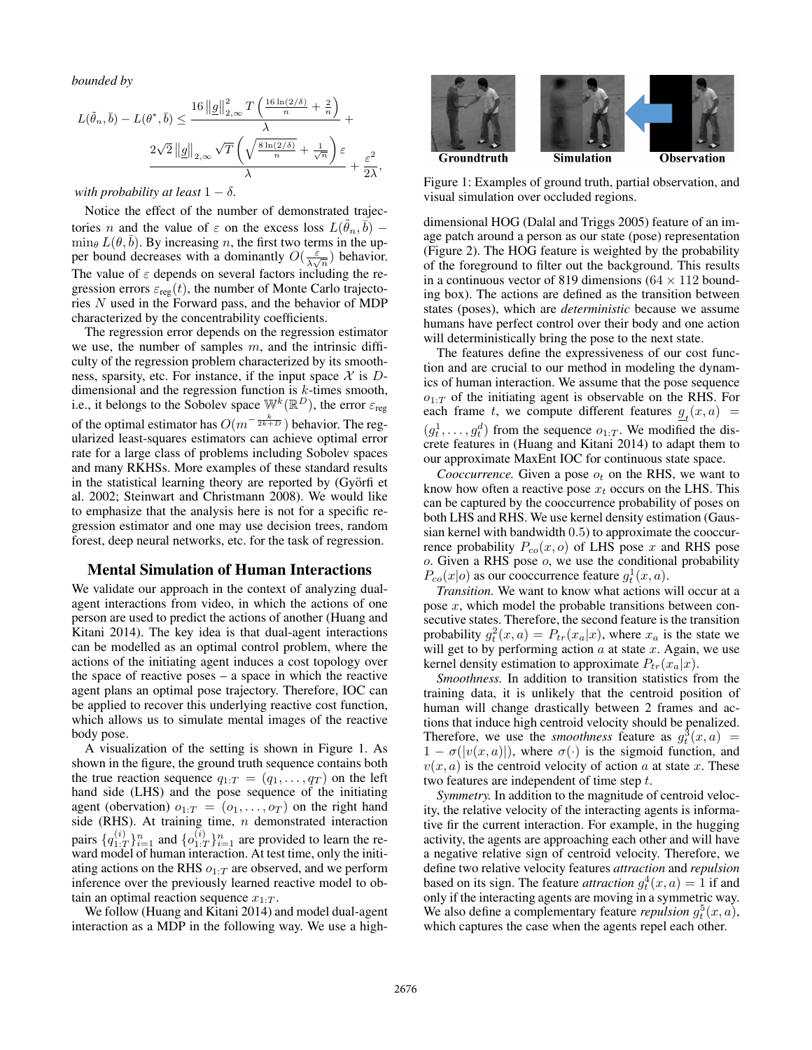*bounded by*

$$
L(\tilde{\theta}_n, \bar{b}) - L(\theta^*, \bar{b}) \le \frac{16 \left\|g\right\|_{2,\infty}^2 T\left(\frac{16 \ln(2/\delta)}{n} + \frac{2}{n}\right)}{\lambda} + \frac{2\sqrt{2} \left\|g\right\|_{2,\infty} \sqrt{T}\left(\sqrt{\frac{8 \ln(2/\delta)}{n} + \frac{1}{\sqrt{n}}}\right)\varepsilon}{\lambda} + \frac{\varepsilon^2}{2\lambda},
$$

*with probability at least*  $1 - \delta$ *.* 

Notice the effect of the number of demonstrated trajectories *n* and the value of  $\varepsilon$  on the excess loss  $L(\tilde{\theta}_n, \bar{b})$  –  $\min_{\theta} L(\theta, \overline{b})$ . By increasing n, the first two terms in the upper bound decreases with a dominantly  $O(\frac{\varepsilon}{\lambda\sqrt{n}})$  behavior. The value of  $\varepsilon$  depends on several factors including the regression errors  $\varepsilon_{reg}(t)$ , the number of Monte Carlo trajectories N used in the Forward pass, and the behavior of MDP characterized by the concentrability coefficients.

The regression error depends on the regression estimator we use, the number of samples  $m$ , and the intrinsic difficulty of the regression problem characterized by its smoothness, sparsity, etc. For instance, if the input space  $\mathcal X$  is  $D$ dimensional and the regression function is  $k$ -times smooth, i.e., it belongs to the Sobolev space  $\mathbb{W}^k(\mathbb{R}^D)$ , the error  $\varepsilon_{\text{reg}}$ of the optimal estimator has  $O(m^{-\frac{k}{2k+D}})$  behavior. The regularized least-squares estimators can achieve optimal error rate for a large class of problems including Sobolev spaces and many RKHSs. More examples of these standard results in the statistical learning theory are reported by  $(Gy\ddot{o}r\ddot{f})$  et al. 2002; Steinwart and Christmann 2008). We would like to emphasize that the analysis here is not for a specific regression estimator and one may use decision trees, random forest, deep neural networks, etc. for the task of regression.

# Mental Simulation of Human Interactions

We validate our approach in the context of analyzing dualagent interactions from video, in which the actions of one person are used to predict the actions of another (Huang and Kitani 2014). The key idea is that dual-agent interactions can be modelled as an optimal control problem, where the actions of the initiating agent induces a cost topology over the space of reactive poses – a space in which the reactive agent plans an optimal pose trajectory. Therefore, IOC can be applied to recover this underlying reactive cost function, which allows us to simulate mental images of the reactive body pose.

A visualization of the setting is shown in Figure 1. As shown in the figure, the ground truth sequence contains both the true reaction sequence  $q_{1:T} = (q_1, \ldots, q_T)$  on the left hand side (LHS) and the pose sequence of the initiating agent (obervation)  $o_{1:T} = (o_1, \ldots, o_T)$  on the right hand side (RHS). At training time,  $n$  demonstrated interaction pairs  $\{q_{1:7}^{(i)}\}$  $\{i\}_{1:T}^{(i)}\}_{i=1}^{n}$  and  $\{o_{1:T}^{(i)}\}$  $\binom{i}{1:T}$  are provided to learn the reward model of human interaction. At test time, only the initiating actions on the RHS  $o_{1:T}$  are observed, and we perform inference over the previously learned reactive model to obtain an optimal reaction sequence  $x_{1:T}$ .

We follow (Huang and Kitani 2014) and model dual-agent interaction as a MDP in the following way. We use a high-



Figure 1: Examples of ground truth, partial observation, and visual simulation over occluded regions.

dimensional HOG (Dalal and Triggs 2005) feature of an image patch around a person as our state (pose) representation (Figure 2). The HOG feature is weighted by the probability of the foreground to filter out the background. This results in a continuous vector of 819 dimensions ( $64 \times 112$  bounding box). The actions are defined as the transition between states (poses), which are *deterministic* because we assume humans have perfect control over their body and one action will deterministically bring the pose to the next state.

The features define the expressiveness of our cost function and are crucial to our method in modeling the dynamics of human interaction. We assume that the pose sequence  $o_{1:T}$  of the initiating agent is observable on the RHS. For each frame t, we compute different features  $g_t(x, a) =$  $(g_t^1, \ldots, g_t^d)$  from the sequence  $o_{1:T}$ . We modified the discrete features in (Huang and Kitani 2014) to adapt them to our approximate MaxEnt IOC for continuous state space.

*Cooccurrence.* Given a pose  $o_t$  on the RHS, we want to know how often a reactive pose  $x_t$  occurs on the LHS. This can be captured by the cooccurrence probability of poses on both LHS and RHS. We use kernel density estimation (Gaussian kernel with bandwidth 0.5) to approximate the cooccurrence probability  $P_{co}(x, o)$  of LHS pose x and RHS pose  $o$ . Given a RHS pose  $o$ , we use the conditional probability  $P_{co}(x|o)$  as our cooccurrence feature  $g_t^1(x, a)$ .

*Transition.* We want to know what actions will occur at a pose  $x$ , which model the probable transitions between consecutive states. Therefore, the second feature is the transition probability  $g_t^2(x, a) = P_{tr}(x_a|x)$ , where  $x_a$  is the state we will get to by performing action  $a$  at state  $x$ . Again, we use kernel density estimation to approximate  $P_{tr}(x_a|x)$ .

*Smoothness.* In addition to transition statistics from the training data, it is unlikely that the centroid position of human will change drastically between 2 frames and actions that induce high centroid velocity should be penalized. Therefore, we use the *smoothness* feature as  $g_t^3(x, a)$  =  $1 - \sigma(|v(x, a)|)$ , where  $\sigma(\cdot)$  is the sigmoid function, and  $v(x, a)$  is the centroid velocity of action a at state x. These two features are independent of time step t.

*Symmetry.* In addition to the magnitude of centroid velocity, the relative velocity of the interacting agents is informative fir the current interaction. For example, in the hugging activity, the agents are approaching each other and will have a negative relative sign of centroid velocity. Therefore, we define two relative velocity features *attraction* and *repulsion* based on its sign. The feature *attraction*  $g_t^4(x, a) = 1$  if and only if the interacting agents are moving in a symmetric way. We also define a complementary feature *repulsion*  $g_t^5(x, a)$ , which captures the case when the agents repel each other.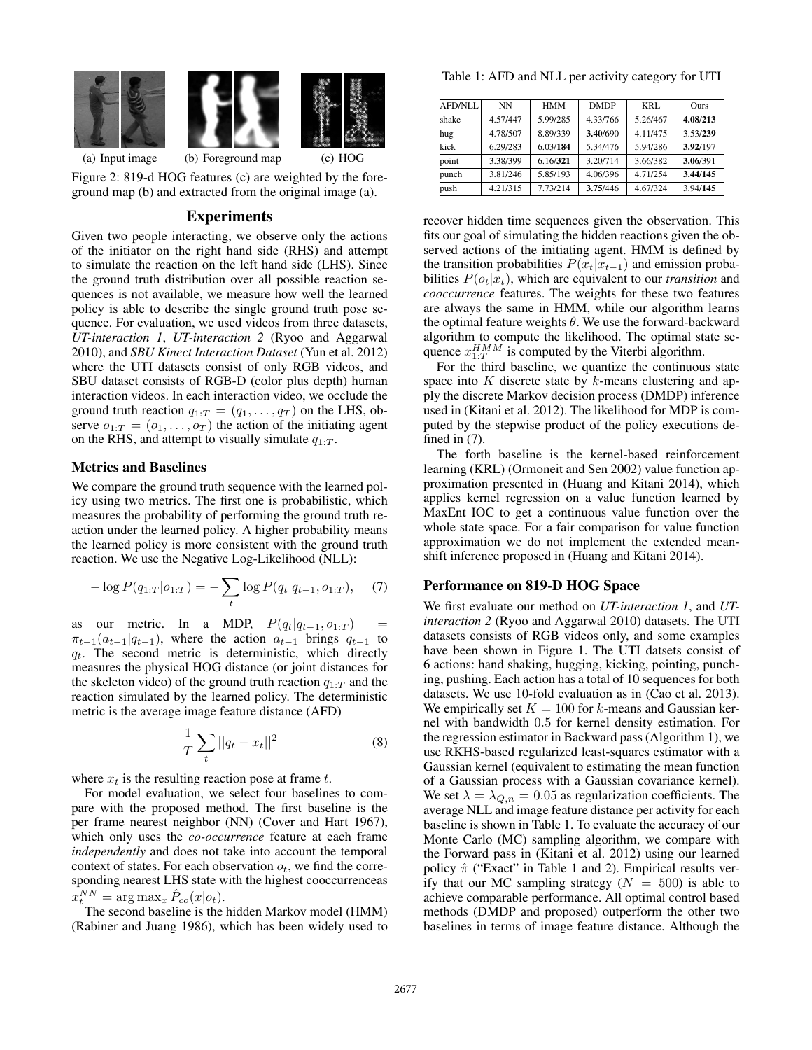

(a) Input image (b) Foreground map (c) HOG

Figure 2: 819-d HOG features (c) are weighted by the foreground map (b) and extracted from the original image (a).

# Experiments

Given two people interacting, we observe only the actions of the initiator on the right hand side (RHS) and attempt to simulate the reaction on the left hand side (LHS). Since the ground truth distribution over all possible reaction sequences is not available, we measure how well the learned policy is able to describe the single ground truth pose sequence. For evaluation, we used videos from three datasets, *UT-interaction 1*, *UT-interaction 2* (Ryoo and Aggarwal 2010), and *SBU Kinect Interaction Dataset* (Yun et al. 2012) where the UTI datasets consist of only RGB videos, and SBU dataset consists of RGB-D (color plus depth) human interaction videos. In each interaction video, we occlude the ground truth reaction  $q_{1:T} = (q_1, \ldots, q_T)$  on the LHS, observe  $o_{1:T} = (o_1, \ldots, o_T)$  the action of the initiating agent on the RHS, and attempt to visually simulate  $q_{1:T}$ .

### Metrics and Baselines

We compare the ground truth sequence with the learned policy using two metrics. The first one is probabilistic, which measures the probability of performing the ground truth reaction under the learned policy. A higher probability means the learned policy is more consistent with the ground truth reaction. We use the Negative Log-Likelihood (NLL):

$$
-\log P(q_{1:T}|o_{1:T}) = -\sum_{t} \log P(q_t|q_{t-1}, o_{1:T}), \quad (7)
$$

as our metric. In a MDP,  $P(q_t|q_{t-1}, o_{1:T})$  =  $\pi_{t-1}(a_{t-1}|q_{t-1})$ , where the action  $a_{t-1}$  brings  $q_{t-1}$  to  $q_t$ . The second metric is deterministic, which directly measures the physical HOG distance (or joint distances for the skeleton video) of the ground truth reaction  $q_{1:T}$  and the reaction simulated by the learned policy. The deterministic metric is the average image feature distance (AFD)

$$
\frac{1}{T} \sum_{t} ||q_t - x_t||^2
$$
\n(8)

where  $x_t$  is the resulting reaction pose at frame t.

For model evaluation, we select four baselines to compare with the proposed method. The first baseline is the per frame nearest neighbor (NN) (Cover and Hart 1967), which only uses the *co-occurrence* feature at each frame *independently* and does not take into account the temporal context of states. For each observation  $o_t$ , we find the corresponding nearest LHS state with the highest cooccurrenceas  $x_t^{NN} = \arg \max_x \hat{P}_{co}(x|o_t).$ 

The second baseline is the hidden Markov model (HMM) (Rabiner and Juang 1986), which has been widely used to

Table 1: AFD and NLL per activity category for UTI

| AFD/NLL | <b>NN</b> | <b>HMM</b> | <b>DMDP</b> | KRI.     | <b>Ours</b> |
|---------|-----------|------------|-------------|----------|-------------|
| shake   | 4.57/447  | 5.99/285   | 4.33/766    | 5.26/467 | 4.08/213    |
| hug     | 4.78/507  | 8.89/339   | 3.40/690    | 4.11/475 | 3.53/239    |
| kick    | 6.29/283  | 6.03/184   | 5.34/476    | 5.94/286 | 3.92/197    |
| point   | 3.38/399  | 6.16/321   | 3.20/714    | 3.66/382 | 3.06/391    |
| punch   | 3.81/246  | 5.85/193   | 4.06/396    | 4.71/254 | 3.44/145    |
| push    | 4.21/315  | 7.73/214   | 3.75/446    | 4.67/324 | 3.94/145    |

recover hidden time sequences given the observation. This fits our goal of simulating the hidden reactions given the observed actions of the initiating agent. HMM is defined by the transition probabilities  $P(x_t|x_{t-1})$  and emission probabilities  $P(o_t|x_t)$ , which are equivalent to our *transition* and *cooccurrence* features. The weights for these two features are always the same in HMM, while our algorithm learns the optimal feature weights  $\theta$ . We use the forward-backward algorithm to compute the likelihood. The optimal state sequence  $x_{1:T}^{HMM}$  is computed by the Viterbi algorithm.

For the third baseline, we quantize the continuous state space into K discrete state by  $k$ -means clustering and apply the discrete Markov decision process (DMDP) inference used in (Kitani et al. 2012). The likelihood for MDP is computed by the stepwise product of the policy executions defined in  $(7)$ .

The forth baseline is the kernel-based reinforcement learning (KRL) (Ormoneit and Sen 2002) value function approximation presented in (Huang and Kitani 2014), which applies kernel regression on a value function learned by MaxEnt IOC to get a continuous value function over the whole state space. For a fair comparison for value function approximation we do not implement the extended meanshift inference proposed in (Huang and Kitani 2014).

#### Performance on 819-D HOG Space

We first evaluate our method on *UT-interaction 1*, and *UTinteraction 2* (Ryoo and Aggarwal 2010) datasets. The UTI datasets consists of RGB videos only, and some examples have been shown in Figure 1. The UTI datsets consist of 6 actions: hand shaking, hugging, kicking, pointing, punching, pushing. Each action has a total of 10 sequences for both datasets. We use 10-fold evaluation as in (Cao et al. 2013). We empirically set  $K = 100$  for k-means and Gaussian kernel with bandwidth 0.5 for kernel density estimation. For the regression estimator in Backward pass (Algorithm 1), we use RKHS-based regularized least-squares estimator with a Gaussian kernel (equivalent to estimating the mean function of a Gaussian process with a Gaussian covariance kernel). We set  $\lambda = \lambda_{Q,n} = 0.05$  as regularization coefficients. The average NLL and image feature distance per activity for each baseline is shown in Table 1. To evaluate the accuracy of our Monte Carlo (MC) sampling algorithm, we compare with the Forward pass in (Kitani et al. 2012) using our learned policy  $\hat{\pi}$  ("Exact" in Table 1 and 2). Empirical results verify that our MC sampling strategy  $(N = 500)$  is able to achieve comparable performance. All optimal control based methods (DMDP and proposed) outperform the other two baselines in terms of image feature distance. Although the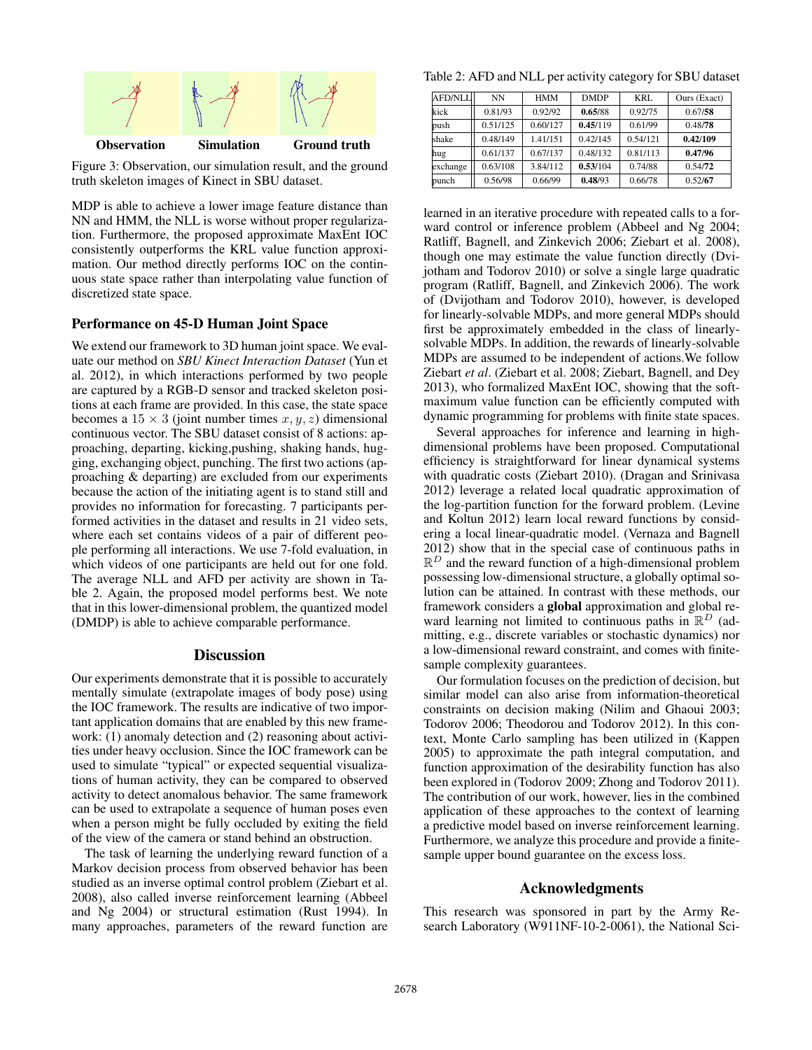

Figure 3: Observation, our simulation result, and the ground truth skeleton images of Kinect in SBU dataset.

MDP is able to achieve a lower image feature distance than NN and HMM, the NLL is worse without proper regularization. Furthermore, the proposed approximate MaxEnt IOC consistently outperforms the KRL value function approximation. Our method directly performs IOC on the continuous state space rather than interpolating value function of discretized state space.

# Performance on 45-D Human Joint Space

We extend our framework to 3D human joint space. We evaluate our method on *SBU Kinect Interaction Dataset* (Yun et al. 2012), in which interactions performed by two people are captured by a RGB-D sensor and tracked skeleton positions at each frame are provided. In this case, the state space becomes a  $15 \times 3$  (joint number times x, y, z) dimensional continuous vector. The SBU dataset consist of 8 actions: approaching, departing, kicking,pushing, shaking hands, hugging, exchanging object, punching. The first two actions (approaching & departing) are excluded from our experiments because the action of the initiating agent is to stand still and provides no information for forecasting. 7 participants performed activities in the dataset and results in 21 video sets, where each set contains videos of a pair of different people performing all interactions. We use 7-fold evaluation, in which videos of one participants are held out for one fold. The average NLL and AFD per activity are shown in Table 2. Again, the proposed model performs best. We note that in this lower-dimensional problem, the quantized model (DMDP) is able to achieve comparable performance.

# **Discussion**

Our experiments demonstrate that it is possible to accurately mentally simulate (extrapolate images of body pose) using the IOC framework. The results are indicative of two important application domains that are enabled by this new framework: (1) anomaly detection and (2) reasoning about activities under heavy occlusion. Since the IOC framework can be used to simulate "typical" or expected sequential visualizations of human activity, they can be compared to observed activity to detect anomalous behavior. The same framework can be used to extrapolate a sequence of human poses even when a person might be fully occluded by exiting the field of the view of the camera or stand behind an obstruction.

The task of learning the underlying reward function of a Markov decision process from observed behavior has been studied as an inverse optimal control problem (Ziebart et al. 2008), also called inverse reinforcement learning (Abbeel and Ng 2004) or structural estimation (Rust 1994). In many approaches, parameters of the reward function are

Table 2: AFD and NLL per activity category for SBU dataset

| AFD/NLL  | NN       | <b>HMM</b> | <b>DMDP</b> | KRI.     | Ours (Exact) |
|----------|----------|------------|-------------|----------|--------------|
| kick     | 0.81/93  | 0.92/92    | 0.65/88     | 0.92/75  | 0.67/58      |
| bush     | 0.51/125 | 0.60/127   | 0.45/119    | 0.61/99  | 0.48/78      |
| shake    | 0.48/149 | 1.41/151   | 0.42/145    | 0.54/121 | 0.42/109     |
| hug      | 0.61/137 | 0.67/137   | 0.48/132    | 0.81/113 | 0.47/96      |
| exchange | 0.63/108 | 3.84/112   | 0.53/104    | 0.74/88  | 0.54/72      |
| bunch    | 0.56/98  | 0.66/99    | 0.48/93     | 0.66/78  | 0.52/67      |

learned in an iterative procedure with repeated calls to a forward control or inference problem (Abbeel and Ng 2004; Ratliff, Bagnell, and Zinkevich 2006; Ziebart et al. 2008), though one may estimate the value function directly (Dvijotham and Todorov 2010) or solve a single large quadratic program (Ratliff, Bagnell, and Zinkevich 2006). The work of (Dvijotham and Todorov 2010), however, is developed for linearly-solvable MDPs, and more general MDPs should first be approximately embedded in the class of linearlysolvable MDPs. In addition, the rewards of linearly-solvable MDPs are assumed to be independent of actions.We follow Ziebart *et al*. (Ziebart et al. 2008; Ziebart, Bagnell, and Dey 2013), who formalized MaxEnt IOC, showing that the softmaximum value function can be efficiently computed with dynamic programming for problems with finite state spaces.

Several approaches for inference and learning in highdimensional problems have been proposed. Computational efficiency is straightforward for linear dynamical systems with quadratic costs (Ziebart 2010). (Dragan and Srinivasa 2012) leverage a related local quadratic approximation of the log-partition function for the forward problem. (Levine and Koltun 2012) learn local reward functions by considering a local linear-quadratic model. (Vernaza and Bagnell 2012) show that in the special case of continuous paths in  $\mathbb{R}^D$  and the reward function of a high-dimensional problem possessing low-dimensional structure, a globally optimal solution can be attained. In contrast with these methods, our framework considers a global approximation and global reward learning not limited to continuous paths in  $\mathbb{R}^D$  (admitting, e.g., discrete variables or stochastic dynamics) nor a low-dimensional reward constraint, and comes with finitesample complexity guarantees.

Our formulation focuses on the prediction of decision, but similar model can also arise from information-theoretical constraints on decision making (Nilim and Ghaoui 2003; Todorov 2006; Theodorou and Todorov 2012). In this context, Monte Carlo sampling has been utilized in (Kappen 2005) to approximate the path integral computation, and function approximation of the desirability function has also been explored in (Todorov 2009; Zhong and Todorov 2011). The contribution of our work, however, lies in the combined application of these approaches to the context of learning a predictive model based on inverse reinforcement learning. Furthermore, we analyze this procedure and provide a finitesample upper bound guarantee on the excess loss.

# Acknowledgments

This research was sponsored in part by the Army Research Laboratory (W911NF-10-2-0061), the National Sci